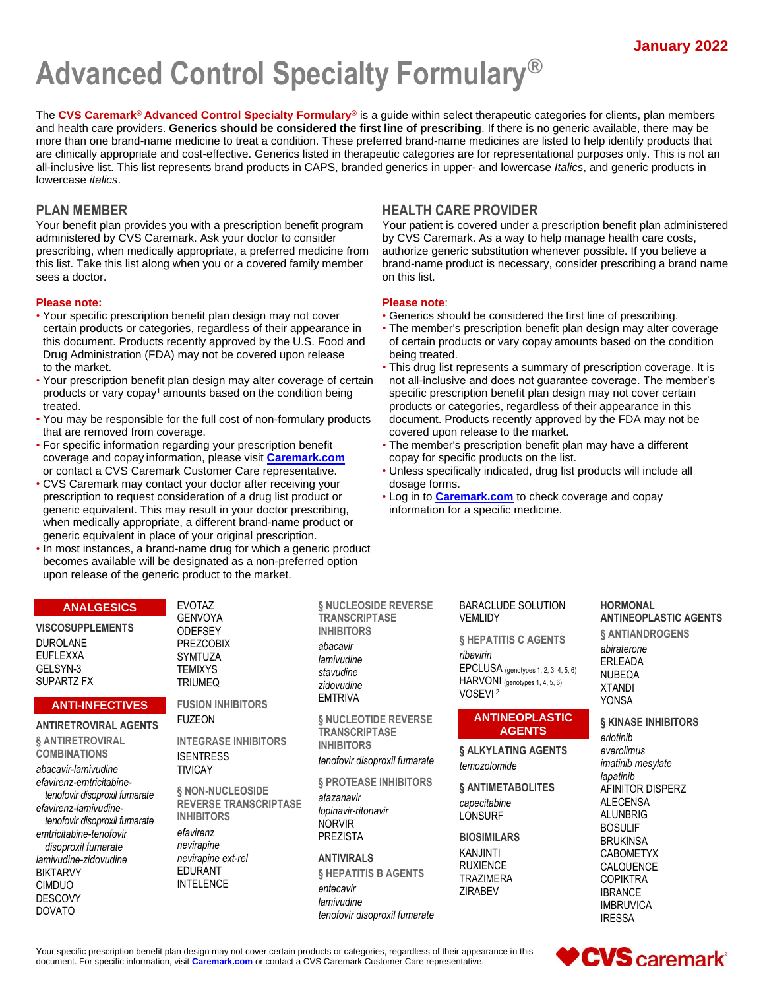# **Advanced Control Specialty Formulary®**

The **CVS Caremark® Advanced Control Specialty Formulary®** is a guide within select therapeutic categories for clients, plan members and health care providers. **Generics should be considered the first line of prescribing**. If there is no generic available, there may be more than one brand-name medicine to treat a condition. These preferred brand-name medicines are listed to help identify products that are clinically appropriate and cost-effective. Generics listed in therapeutic categories are for representational purposes only. This is not an all-inclusive list. This list represents brand products in CAPS, branded generics in upper- and lowercase *Italics*, and generic products in lowercase *italics*.

Your benefit plan provides you with a prescription benefit program administered by CVS Caremark. Ask your doctor to consider prescribing, when medically appropriate, a preferred medicine from this list. Take this list along when you or a covered family member sees a doctor.

#### **Please note: Please note**:

- Your specific prescription benefit plan design may not cover Generics should be considered the first line of prescribing. Drug Administration (FDA) may not be covered upon release being treated.
- Your prescription benefit plan design may alter coverage of certain not all-inclusive and does not guarantee coverage. The member's products or vary copay<sup>1</sup> amounts based on the condition being specific prescription benefit plan design may not cover certain treated. products or categories, regardless of their appearance in this
- You may be responsible for the full cost of non-formulary products document. Products recently approved by the FDA may not be that are removed from coverage. cover example and covered upon release to the market.
- coverage and copay information, please visit **[Caremark.com](https://www.caremark.com/)** copay for specific products on the list.
- CVS Caremark may contact your doctor after receiving your dosage forms. prescription to request consideration of a drug list product or • Log in to **[Caremark.com](https://www.caremark.com/)** to check coverage and copay generic equivalent. This may result in your doctor prescribing, information for a specific medicine. when medically appropriate, a different brand-name product or generic equivalent in place of your original prescription.
- In most instances, a brand-name drug for which a generic product becomes available will be designated as a non-preferred option upon release of the generic product to the market.

# **PLAN MEMBER HEALTH CARE PROVIDER**

Your patient is covered under a prescription benefit plan administered by CVS Caremark. As a way to help manage health care costs, authorize generic substitution whenever possible. If you believe a brand-name product is necessary, consider prescribing a brand name on this list.

- 
- certain products or categories, regardless of their appearance in The member's prescription benefit plan design may alter coverage this document. Products recently approved by the U.S. Food and of certain products or vary copay amounts based on the condition
- to the market.  **This drug list represents a summary of prescription coverage.** It is
- For specific information regarding your prescription benefit The member's prescription benefit plan may have a different
- or contact a CVS Caremark Customer Care representative. Unless specifically indicated, drug list products will include all
	-

# **ANALGESICS**

**VISCOSUPPLEMENTS** DUROLANE EUFLEXXA GELSYN-3 SUPARTZ FX

#### **ANTI-INFECTIVES**

#### **ANTIRETROVIRAL AGENTS**

**§ ANTIRETROVIRAL COMBINATIONS**

*abacavir-lamivudine efavirenz-emtricitabinetenofovir disoproxil fumarate efavirenz-lamivudinetenofovir disoproxil fumarate emtricitabine-tenofovir disoproxil fumarate lamivudine-zidovudine* BIKTARVY CIMDUO DESCOVY DOVATO

EVOTAZ GENVOYA **ODEFSEY** PREZCOBIX SYMTUZA **TEMIXYS** TRIUMEQ

**FUSION INHIBITORS** FUZEON

**INTEGRASE INHIBITORS ISENTRESS** TIVICAY

**§ NON-NUCLEOSIDE REVERSE TRANSCRIPTASE INHIBITORS** *efavirenz nevirapine nevirapine ext-rel* EDURANT INTELENCE

**§ NUCLEOSIDE REVERSE TRANSCRIPTASE INHIBITORS**

*abacavir lamivudine stavudine zidovudine* EMTRIVA

**§ NUCLEOTIDE REVERSE TRANSCRIPTASE INHIBITORS**

*tenofovir disoproxil fumarate*

**§ PROTEASE INHIBITORS**

*atazanavir lopinavir-ritonavir* NORVIR PREZISTA

#### **ANTIVIRALS**

**§ HEPATITIS B AGENTS** *entecavir lamivudine tenofovir disoproxil fumarate* BARACLUDE SOLUTION **VEMLIDY** 

**§ HEPATITIS C AGENTS** *ribavirin*

EPCLUSA (genotypes 1, 2, 3, 4, 5, 6) HARVONI (genotypes 1, 4, 5, 6) VOSEVI <sup>2</sup>

#### **ANTINEOPLASTIC AGENTS**

**§ ALKYLATING AGENTS** *temozolomide*

**§ ANTIMETABOLITES**

*capecitabine* LONSURF

**BIOSIMILARS**

KANJINTI RUXIENCE TRAZIMERA ZIRABEV

#### **HORMONAL ANTINEOPLASTIC AGENTS § ANTIANDROGENS** *abiraterone*

ERLEADA NUBEQA XTANDI YONSA

**§ KINASE INHIBITORS** *erlotinib everolimus imatinib mesylate lapatinib* AFINITOR DISPERZ ALECENSA ALUNBRIG BOSULIF BRUKINSA CABOMETYX CALQUENCE **COPIKTRA** IBRANCE IMBRUVICA IRESSA

Your specific prescription benefit plan design may not cover certain products or categories, regardless of their appearance in this document. For specific information, visit **[Caremark.com](https://www.caremark.com/)** or contact a CVS Caremark Customer Care representative.

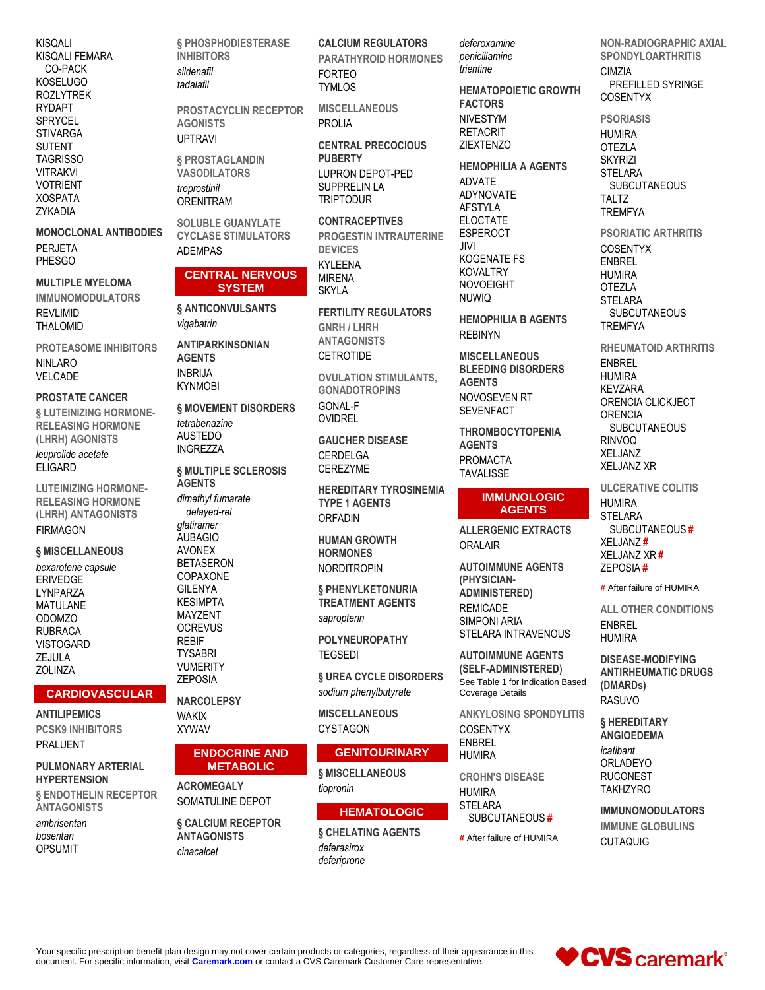**KISQALI** KISQALI FEMARA CO-PACK **KOSELUGO ROZLYTREK RYDAPT SPRYCEL STIVARGA SUTENT TAGRISSO VITRAKVI VOTRIENT XOSPATA** ZYKADIA

**MONOCLONAL ANTIBODIES PERJETA PHESGO** 

**MULTIPLE MYELOMA IMMUNOMODULATORS** RFVI IMID **THALOMID** 

PROTFASOME INHIBITORS NINI ARO VELCADE

#### **PROSTATE CANCER**

**& LUTEINIZING HORMONE-RELEASING HORMONE** (LHRH) AGONISTS leuprolide acetate **ELIGARD** 

**LUTEINIZING HORMONE-RELEASING HORMONE** (LHRH) ANTAGONISTS **FIRMAGON** 

§ MISCELLANEOUS

bexarotene capsule **ERIVEDGE** LYNPARZA **MATULANE** ODOMZO **RUBRACA VISTOGARD** ZEJULA **70I INZA** 

#### **CARDIOVASCULAR**

**ANTILIPEMICS PCSK9 INHIBITORS PRALUENT** 

### **PULMONARY ARTERIAL HYPERTENSION**

§ ENDOTHELIN RECEPTOR **ANTAGONISTS** 

ambrisentan hosentan **OPSUMIT** 

**§ PHOSPHODIESTERASE INHIBITORS** sildenafil tadalafil

PROSTACYCLIN RECEPTOR **AGONISTS UPTRAVI** 

§ PROSTAGLANDIN **VASODILATORS** treprostinil ORENITRAM

**SOLUBLE GUANYLATE CYCLASE STIMULATORS ADFMPAS** 

#### **CENTRAL NERVOUS SYSTEM**

**§ ANTICONVULSANTS** vigabatrin

**ANTIPARKINSONIAN AGENTS INBRIJA KYNMOBI** 

**§ MOVEMENT DISORDERS** tetrabenazine **AUSTEDO INGREZZA** 

**§ MULTIPLE SCLEROSIS AGENTS** 

dimethyl fumarate delaved-rel *alatiramer* **AUBAGIO AVONEX BETASERON** COPAXONE **GILENYA KESIMPTA MAYZENT OCREVUS REBIF TYSABRI VUMERITY ZEPOSIA** 

# **NARCOL FPSY**

**WAKIX XYWAV** 

#### **ENDOCRINE AND METABOLIC**

**ACROMEGALY** SOMATULINE DEPOT

**6 CALCIUM RECEPTOR ANTAGONISTS** cinacalcet

**CALCIUM REGULATORS PARATHYROID HORMONES FORTEO TYMI OS** 

**MISCELLANEOUS PROLIA** 

**CENTRAL PRECOCIOUS PUBERTY** LUPRON DEPOT-PED SUPPRELIN LA **TRIPTODUR** 

**CONTRACEPTIVES PROGESTIN INTRAUTERINE DEVICES KYI FFNA MIRENA SKYLA** 

**FERTILITY REGULATORS GNRH / LHRH ANTAGONISTS CETROTIDE** 

**OVULATION STIMULANTS. GONADOTROPINS GONAL-F OVIDREL** 

**GAUCHER DISEASE** CERDELGA **CEREZYME** 

**HEREDITARY TYROSINEMIA TYPE 1 AGENTS ORFADIN** 

**HUMAN GROWTH HORMONES NORDITROPIN** 

§ PHENYLKETONURIA **TREATMENT AGENTS** sapropterin

**POLYNEUROPATHY TFGSFDI** 

**& UREA CYCLE DISORDERS** sodium phenylbutyrate

**MISCELLANEOUS CYSTAGON** 

#### **GENITOURINARY**

**6 MISCELLANEOUS** tiopronin

#### **HEMATOLOGIC**

**& CHELATING AGENTS** deferasirox deferiprone

deferoxamine penicillamine trientine

**HEMATOPOIETIC GROWTH FACTORS NIVESTYM RETACRIT ZIEXTENZO** 

#### **HEMOPHILIA A AGENTS**

**ADVATE** ADYNOVATE **AFSTYLA ELOCTATE ESPEROCT**  $JIVI$ **KOGENATE FS KOVALTRY NOVOEIGHT NUWIQ** 

**HEMOPHILIA B AGENTS REBINYN** 

**MISCELLANEOUS BLEEDING DISORDERS AGENTS** NOVOSEVEN RT **SEVENFACT** 

**THROMBOCYTOPENIA AGENTS PROMACTA TAVALISSE** 

#### **IMMUNOLOGIC AGENTS**

**ALLERGENIC EXTRACTS ORALAIR** 

**AUTOIMMUNE AGENTS** (PHYSICIAN-**ADMINISTERED) REMICADE SIMPONI ARIA** STELARA INTRAVENOUS

**AUTOIMMUNE AGENTS** (SELF-ADMINISTERED) See Table 1 for Indication Based **Coverage Details** 

**ANKYLOSING SPONDYLITIS COSENTYX ENBREL HUMIRA** 

**CROHN'S DISEASE HUMIRA STELARA** SUBCUTANEOUS#

# After failure of HUMIRA

### **NON-RADIOGRAPHIC AXIAL SPONDYLOARTHRITIS CIMZIA** PREFILLED SYRINGE COSENTYX

**PSORIASIS HUMIRA** 

**OTEZLA SKYRIZI STFI ARA SUBCUTANEOUS** TAI T7 **TREMFYA** 

**PSORIATIC ARTHRITIS COSENTYX ENBREL HUMIRA OTEZLA STELARA SUBCUTANEOUS TREMFYA** 

RHFUMATOID ARTHRITIS **ENBREL HUMIRA KEVZARA** ORENCIA CLICKJECT ORFNCIA SUBCUTANEOUS **RINVOQ** XFI JANZ **XFI JANZ XR** 

**ULCERATIVE COLITIS HUMIRA STELARA** SUBCUTANEOUS# XELJANZ# **XELJANZ XR# ZEPOSIA#** 

# After failure of HUMIRA

**ALL OTHER CONDITIONS FNBRFI HUMIRA** 

**DISEASE-MODIFYING ANTIRHEUMATIC DRUGS** (DMARDs) **RASUVO** 

§ HEREDITARY **ANGIOEDEMA** icatibant **ORLADEYO RUCONEST TAKHZYRO** 

**IMMUNOMODULATORS IMMUNE GLOBULINS CUTAQUIG** 

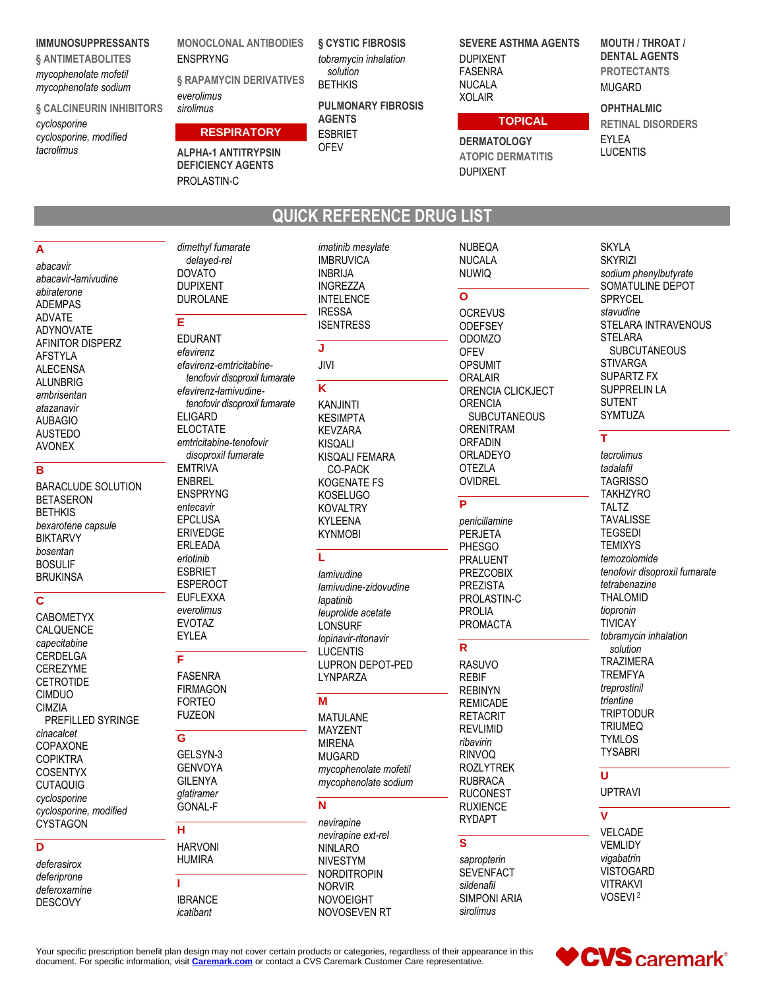#### **IMMUNOSUPPRESSANTS**

§ ANTIMETABOLITES mycophenolate mofetil mycophenolate sodium

#### § CALCINEURIN INHIBITORS

cyclosporine cyclosporine, modified tacrolimus

#### **MONOCLONAL ANTIBODIES FNSPRYNG**

§ RAPAMYCIN DERIVATIVES everolimus sirolimus

#### **RESPIRATORY**

**ALPHA-1 ANTITRYPSIN DEFICIENCY AGENTS** PROLASTIN-C

dimethyl fumarate

delayed-rel

**DOVATO** 

F.

**DUPIXENT** 

DUROLANE

**EDURANT** 

**§ CYSTIC FIBROSIS** tobramycin inhalation solution **RFTHKIS** 

**PULMONARY FIBROSIS AGENTS ESBRIET OFEV** 

**SEVERE ASTHMA AGENTS DUPIXENT FASENRA NUCALA XOLAIR** 

#### **TOPICAL**

**DERMATOLOGY ATOPIC DERMATITIS DUPIXENT** 

**NUBEQA** 

**NUCALA** 

**MOUTH / THROAT / DENTAL AGENTS PROTECTANTS MUGARD** 

#### **OPHTHALMIC**

**RETINAL DISORDERS EYLEA LUCENTIS** 

# **QUICK REFERENCE DRUG LIST**

imatinib mesylate

**IMBRUVICA** 

**INBRIJA** 

**INGREZZA** 

A abacavir abacavir-lamivudine abiraterone **ADEMPAS ADVATE ADYNOVATE** AFINITOR DISPERZ **AFSTYLA ALECENSA ALUNBRIG** ambrisentan atazanavir **AUBAGIO AUSTEDO** 

#### B

**AVONEX** 

**BARACLUDE SOLUTION RETASERON BFTHKIS** bexarotene capsule **BIKTARVY** hosentan **BOSULIF BRUKINSA** 

#### $\overline{\text{c}}$

**CABOMETYX** CALQUENCE capecitabine **CERDELGA CEREZYME CETROTIDE** CIMDUO **CIM7IA** PREFILLED SYRINGE cinacalcet COPAXONE **COPIKTRA COSENTYX CUTAQUIG** cyclosporine cyclosporine, modified CYSTAGON

## $\overline{\mathsf{D}}$

deferasirox deferiprone deferoxamine **DESCOVY** 

efavirenz efavirenz-emtricitabinetenofovir disoproxil fumarate efavirenz-lamivudinetenofovir disoproxil fumarate **ELIGARD ELOCTATE** emtricitabine-tenofovir disoproxil fumarate **EMTRIVA ENBREL ENSPRYNG** entecavir **EPCLUSA ERIVEDGE** ERLEADA erlotinib **ESBRIET ESPEROCT EUFLEXXA** everolimus **EVOTAZ EYLEA**  $\overline{\mathsf{F}}$ **FASENRA** 

**FIRMAGON FORTEO FUZEON** 

G GELSYN-3 **GENVOYA GILENYA** glatiramer GONAL-F

#### н **HARVONI HUMIRA** Ï **IBRANCE** icatibant

**INTELENCE IRESSA ISENTRESS** J JIVI K **KANJINTI KESIMPTA KEVZARA KISQALI KISOALI FEMARA CO-PACK KOGENATE FS KOSELUGO KOVALTRY KYLEENA KYNMOBI** L lamivudine lamivudine-zidovudine lapatinib leuprolide acetate **LONSURF** lopinavir-ritonavir

# M

**LUCENTIS** 

I YNPARZA

**MATULANE MAYZENT MIRENA MUGARD** mycophenolate mofetil mycophenolate sodium

**I UPRON DEPOT-PED** 

### N

nevirapine nevirapine ext-rel **NINLARO NIVESTYM NORDITROPIN NORVIR NOVOEIGHT** NOVOSEVEN RT **NUWIQ**  $\mathbf{o}$ **OCREVUS** ODEFSEY **ODOMZO OFEV OPSUMIT** ORALAIR ORENCIA CLICKJECT **ORENCIA SUBCUTANEOUS ORENITRAM ORFADIN** ORLADEYO **OTEZLA** OVIDREL

#### P

penicillamine **PERJETA PHESGO PRALUENT PREZCOBIX PREZISTA** PROLASTIN-C **PROLIA PROMACTA** 

#### $\overline{R}$

**RASUVO RFBIF RFBINYN REMICADE RETACRIT REVLIMID** ribavirin **RINVOQ ROZLYTREK RUBRACA RUCONEST RUXIENCE RYDAPT** 

#### $\overline{\mathbf{s}}$

sapropterin **SEVENFACT** sildenafil **SIMPONI ARIA** sirolimus

**SKYLA SKYRIZI** sodium phenylbutyrate SOMATULINE DEPOT SPRYCEL stavudine STELARA INTRAVENOUS **STELARA SUBCUTANEOUS STIVARGA SUPARTZ FX SUPPRELIN LA SUTENT SYMTUZA** 

### T.

tacrolimus tadalafil **TAGRISSO TAKHZYRO TALTZ TAVALISSE TEGSEDI TEMIXYS** temozolomide tenofovir disoproxil fumarate tetrabenazine **THALOMID** tiopronin **TIVICAY** tobramycin inhalation solution **TRAZIMERA TREMFYA** treprostinil trientine **TRIPTODUR TRIUMEQ TYMI OS TYSABRI** 

# Ù

**UPTRAVI** 

#### $\overline{\mathbf{V}}$

**VELCADE VEMLIDY** vigabatrin **VISTOGARD VITRAKVI** VOSEVI<sup>2</sup>

Your specific prescription benefit plan design may not cover certain products or categories, regardless of their appearance in this document. For specific information, visit Caremark.com or contact a CVS Caremark Customer Care representative.

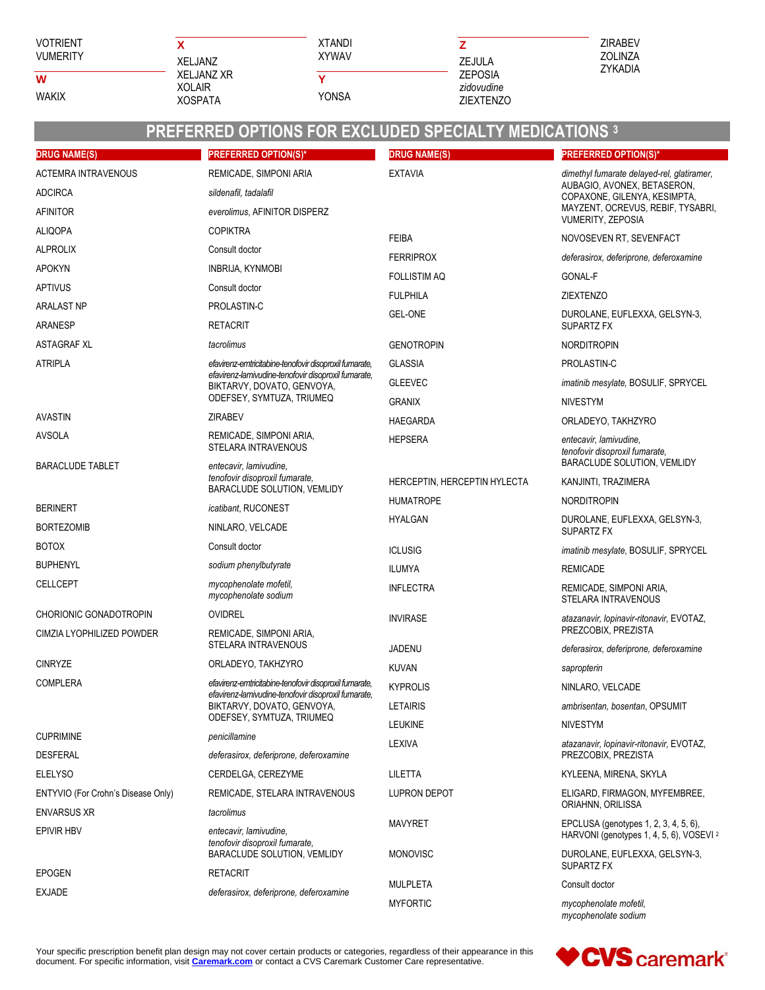#### **VOTRIENT VUMERITY**

 $\overline{\mathsf{w}}$ 

**WAKIX** 

| x              |
|----------------|
| XFI JANZ       |
| XFI JANZ XR    |
| XOI AIR        |
| <b>XOSPATA</b> |

**XTANDI XYWAV**  $\overline{\mathsf{Y}}$ YONSA



ZIRABEV ZOLINZA ZYKADIA

# **PREFERRED OPTIONS FOR EXCLUDED SPECIALTY MEDICATIONS 3**

| <b>DRUG NAME(S)</b>                                      | <b>PREFERRED OPTION(S)*</b>                                                                                                                                              | <b>DRUG NAME(S)</b>          | <b>PREFERRED OPTION(S)*</b>                                                                                                                                         |
|----------------------------------------------------------|--------------------------------------------------------------------------------------------------------------------------------------------------------------------------|------------------------------|---------------------------------------------------------------------------------------------------------------------------------------------------------------------|
| <b>ACTEMRA INTRAVENOUS</b>                               | REMICADE, SIMPONI ARIA                                                                                                                                                   | <b>EXTAVIA</b>               | dimethyl fumarate delayed-rel, glatiramer,<br>AUBAGIO, AVONEX, BETASERON,<br>COPAXONE, GILENYA, KESIMPTA,<br>MAYZENT, OCREVUS, REBIF, TYSABRI,<br>VUMERITY, ZEPOSIA |
| <b>ADCIRCA</b>                                           | sildenafil, tadalafil                                                                                                                                                    |                              |                                                                                                                                                                     |
| <b>AFINITOR</b>                                          | everolimus, AFINITOR DISPERZ                                                                                                                                             |                              |                                                                                                                                                                     |
| <b>ALIQOPA</b>                                           | <b>COPIKTRA</b>                                                                                                                                                          | <b>FEIBA</b>                 | NOVOSEVEN RT, SEVENFACT                                                                                                                                             |
| <b>ALPROLIX</b>                                          | Consult doctor                                                                                                                                                           | <b>FERRIPROX</b>             | deferasirox, deferiprone, deferoxamine                                                                                                                              |
| <b>APOKYN</b>                                            | INBRIJA, KYNMOBI                                                                                                                                                         | <b>FOLLISTIM AQ</b>          | GONAL-F                                                                                                                                                             |
| <b>APTIVUS</b>                                           | Consult doctor<br>PROLASTIN-C                                                                                                                                            | <b>FULPHILA</b>              | <b>ZIEXTENZO</b>                                                                                                                                                    |
| <b>ARALAST NP</b>                                        |                                                                                                                                                                          | <b>GEL-ONE</b>               | DUROLANE, EUFLEXXA, GELSYN-3,                                                                                                                                       |
| ARANESP                                                  | <b>RETACRIT</b>                                                                                                                                                          |                              | SUPARTZ FX                                                                                                                                                          |
| <b>ASTAGRAF XL</b>                                       | tacrolimus                                                                                                                                                               | <b>GENOTROPIN</b>            | <b>NORDITROPIN</b>                                                                                                                                                  |
| <b>ATRIPLA</b>                                           | efavirenz-emtricitabine-tenofovir disoproxil fumarate.<br>efavirenz-lamivudine-tenofovir disoproxil fumarate,<br>BIKTARVY, DOVATO, GENVOYA,                              | <b>GLASSIA</b>               | PROLASTIN-C                                                                                                                                                         |
|                                                          |                                                                                                                                                                          | <b>GLEEVEC</b>               | imatinib mesylate, BOSULIF, SPRYCEL                                                                                                                                 |
|                                                          | ODEFSEY, SYMTUZA, TRIUMEQ                                                                                                                                                | <b>GRANIX</b>                | <b>NIVESTYM</b>                                                                                                                                                     |
| <b>AVASTIN</b>                                           | <b>ZIRABEV</b>                                                                                                                                                           | <b>HAEGARDA</b>              | ORLADEYO, TAKHZYRO                                                                                                                                                  |
| AVSOLA<br>REMICADE, SIMPONI ARIA,<br>STELARA INTRAVENOUS |                                                                                                                                                                          | <b>HEPSERA</b>               | entecavir, lamivudine,<br>tenofovir disoproxil fumarate,<br>BARACLUDE SOLUTION, VEMLIDY                                                                             |
| <b>BARACLUDE TABLET</b>                                  | entecavir, lamivudine,<br>tenofovir disoproxil fumarate,<br>BARACLUDE SOLUTION, VEMLIDY                                                                                  | HERCEPTIN, HERCEPTIN HYLECTA | KANJINTI, TRAZIMERA                                                                                                                                                 |
|                                                          |                                                                                                                                                                          | <b>HUMATROPE</b>             | <b>NORDITROPIN</b>                                                                                                                                                  |
| <b>BERINERT</b>                                          | icatibant, RUCONEST                                                                                                                                                      | <b>HYALGAN</b>               | DUROLANE, EUFLEXXA, GELSYN-3,                                                                                                                                       |
| <b>BORTEZOMIB</b>                                        | NINLARO, VELCADE                                                                                                                                                         |                              | SUPARTZ FX                                                                                                                                                          |
| <b>BOTOX</b>                                             | Consult doctor                                                                                                                                                           | <b>ICLUSIG</b>               | imatinib mesylate, BOSULIF, SPRYCEL                                                                                                                                 |
| <b>BUPHENYL</b>                                          | sodium phenylbutyrate                                                                                                                                                    | <b>ILUMYA</b>                | <b>REMICADE</b>                                                                                                                                                     |
| <b>CELLCEPT</b>                                          | mycophenolate mofetil,<br>mycophenolate sodium                                                                                                                           | <b>INFLECTRA</b>             | REMICADE, SIMPONI ARIA,<br>STELARA INTRAVENOUS                                                                                                                      |
| CHORIONIC GONADOTROPIN                                   | <b>OVIDREL</b><br>REMICADE, SIMPONI ARIA,<br>STELARA INTRAVENOUS                                                                                                         | <b>INVIRASE</b>              | atazanavir, lopinavir-ritonavir, EVOTAZ,                                                                                                                            |
| CIMZIA LYOPHILIZED POWDER                                |                                                                                                                                                                          |                              | PREZCOBIX, PREZISTA                                                                                                                                                 |
| <b>CINRYZE</b>                                           | ORLADEYO, TAKHZYRO                                                                                                                                                       | JADENU                       | deferasirox, deferiprone, deferoxamine                                                                                                                              |
| <b>COMPLERA</b>                                          | efavirenz-emtricitabine-tenofovir disoproxil fumarate,<br>efavirenz-lamivudine-tenofovir disoproxil fumarate,<br>BIKTARVY, DOVATO, GENVOYA,<br>ODEFSEY, SYMTUZA, TRIUMEQ | <b>KUVAN</b>                 | sapropterin                                                                                                                                                         |
|                                                          |                                                                                                                                                                          | <b>KYPROLIS</b>              | NINLARO, VELCADE                                                                                                                                                    |
|                                                          |                                                                                                                                                                          | LETAIRIS                     | ambrisentan, bosentan, OPSUMIT                                                                                                                                      |
| <b>CUPRIMINE</b>                                         | penicillamine                                                                                                                                                            | LEUKINE                      | <b>NIVESTYM</b>                                                                                                                                                     |
| <b>DESFERAL</b>                                          | deferasirox, deferiprone, deferoxamine                                                                                                                                   | LEXIVA                       | atazanavir, lopinavir-ritonavir, EVOTAZ,<br>PREZCOBIX, PREZISTA                                                                                                     |
| <b>ELELYSO</b>                                           | CERDELGA, CEREZYME                                                                                                                                                       | LILETTA                      | KYLEENA, MIRENA, SKYLA                                                                                                                                              |
| ENTYVIO (For Crohn's Disease Only)                       | REMICADE, STELARA INTRAVENOUS                                                                                                                                            | <b>LUPRON DEPOT</b>          | ELIGARD, FIRMAGON, MYFEMBREE,<br>ORIAHNN, ORILISSA                                                                                                                  |
| <b>ENVARSUS XR</b>                                       | tacrolimus                                                                                                                                                               | <b>MAVYRET</b>               | EPCLUSA (genotypes 1, 2, 3, 4, 5, 6),                                                                                                                               |
| EPIVIR HBV                                               | entecavir, lamivudine,<br>tenofovir disoproxil fumarate.                                                                                                                 |                              | HARVONI (genotypes 1, 4, 5, 6), VOSEVI <sup>2</sup>                                                                                                                 |
| <b>EPOGEN</b>                                            | BARACLUDE SOLUTION, VEMLIDY<br><b>RETACRIT</b>                                                                                                                           | <b>MONOVISC</b>              | DUROLANE, EUFLEXXA, GELSYN-3,<br>SUPARTZ FX                                                                                                                         |
| <b>EXJADE</b>                                            | deferasirox, deferiprone, deferoxamine                                                                                                                                   | <b>MULPLETA</b>              | Consult doctor                                                                                                                                                      |
|                                                          |                                                                                                                                                                          | <b>MYFORTIC</b>              | mycophenolate mofetil,<br>mycophenolate sodium                                                                                                                      |

Your specific prescription benefit plan design may not cover certain products or categories, regardless of their appearance in this document. For specific information, visit *Caremark.com* or contact a CVS Caremark Custome

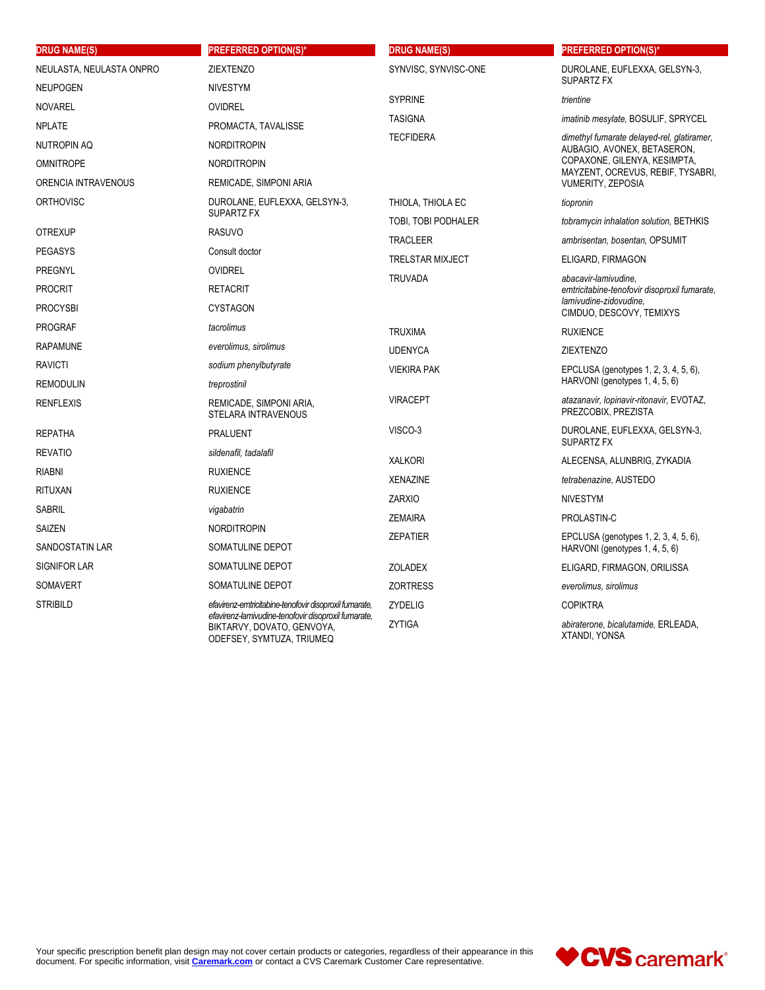| <b>DRUG NAME(S)</b>                          | <b>PREFERRED OPTION(S)*</b>                                                                                                                                              | <b>DRUG NAME(S)</b>     | <b>PREFERRED OPTION(S)*</b>                                                                                                |
|----------------------------------------------|--------------------------------------------------------------------------------------------------------------------------------------------------------------------------|-------------------------|----------------------------------------------------------------------------------------------------------------------------|
| NEULASTA, NEULASTA ONPRO<br><b>ZIEXTENZO</b> |                                                                                                                                                                          | SYNVISC, SYNVISC-ONE    | DUROLANE, EUFLEXXA, GELSYN-3,                                                                                              |
| <b>NEUPOGEN</b>                              | <b>NIVESTYM</b>                                                                                                                                                          |                         | SUPARTZ FX                                                                                                                 |
| <b>NOVAREL</b>                               | <b>OVIDREL</b>                                                                                                                                                           | <b>SYPRINE</b>          | trientine                                                                                                                  |
| <b>NPLATE</b><br>PROMACTA, TAVALISSE         |                                                                                                                                                                          | <b>TASIGNA</b>          | <i>imatinib mesylate, BOSULIF, SPRYCEL</i>                                                                                 |
| <b>NUTROPIN AQ</b>                           | <b>NORDITROPIN</b>                                                                                                                                                       | <b>TECFIDERA</b>        | dimethyl fumarate delayed-rel, glatiramer,<br>AUBAGIO, AVONEX, BETASERON,                                                  |
| <b>OMNITROPE</b>                             | <b>NORDITROPIN</b>                                                                                                                                                       |                         | COPAXONE, GILENYA, KESIMPTA,<br>MAYZENT, OCREVUS, REBIF, TYSABRI,                                                          |
| ORENCIA INTRAVENOUS                          | REMICADE, SIMPONI ARIA                                                                                                                                                   |                         | <b>VUMERITY, ZEPOSIA</b>                                                                                                   |
| <b>ORTHOVISC</b>                             | DUROLANE, EUFLEXXA, GELSYN-3,<br>SUPARTZ FX                                                                                                                              | THIOLA, THIOLA EC       | tiopronin                                                                                                                  |
|                                              |                                                                                                                                                                          | TOBI, TOBI PODHALER     | tobramycin inhalation solution, BETHKIS                                                                                    |
| <b>OTREXUP</b>                               | <b>RASUVO</b>                                                                                                                                                            | <b>TRACLEER</b>         | ambrisentan, bosentan, OPSUMIT                                                                                             |
| <b>PEGASYS</b>                               | Consult doctor                                                                                                                                                           | <b>TRELSTAR MIXJECT</b> | ELIGARD, FIRMAGON                                                                                                          |
| PREGNYL                                      | <b>OVIDREL</b>                                                                                                                                                           | <b>TRUVADA</b>          | abacavir-lamivudine.<br>emtricitabine-tenofovir disoproxil fumarate,<br>lamivudine-zidovudine.<br>CIMDUO, DESCOVY, TEMIXYS |
| <b>PROCRIT</b>                               | <b>RETACRIT</b>                                                                                                                                                          |                         |                                                                                                                            |
| <b>PROCYSBI</b>                              | <b>CYSTAGON</b>                                                                                                                                                          |                         |                                                                                                                            |
| <b>PROGRAF</b>                               | tacrolimus                                                                                                                                                               | <b>TRUXIMA</b>          | <b>RUXIENCE</b>                                                                                                            |
| <b>RAPAMUNE</b>                              | everolimus, sirolimus                                                                                                                                                    | <b>UDENYCA</b>          | <b>ZIEXTENZO</b>                                                                                                           |
| <b>RAVICTI</b>                               | sodium phenylbutyrate                                                                                                                                                    | <b>VIEKIRA PAK</b>      | EPCLUSA (genotypes 1, 2, 3, 4, 5, 6),                                                                                      |
| <b>REMODULIN</b>                             | treprostinil                                                                                                                                                             |                         | HARVONI (genotypes 1, 4, 5, 6)                                                                                             |
| <b>RENFLEXIS</b>                             | REMICADE, SIMPONI ARIA,<br><b>STELARA INTRAVENOUS</b>                                                                                                                    | <b>VIRACEPT</b>         | atazanavir, lopinavir-ritonavir, EVOTAZ,<br>PREZCOBIX, PREZISTA                                                            |
| <b>REPATHA</b>                               | PRALUENT                                                                                                                                                                 | VISCO-3                 | DUROLANE, EUFLEXXA, GELSYN-3,<br>SUPARTZ FX                                                                                |
| <b>REVATIO</b><br>sildenafil, tadalafil      |                                                                                                                                                                          | <b>XALKORI</b>          | ALECENSA, ALUNBRIG, ZYKADIA                                                                                                |
| <b>RIABNI</b>                                | <b>RUXIENCE</b>                                                                                                                                                          | <b>XENAZINE</b>         | tetrabenazine, AUSTEDO                                                                                                     |
| <b>RITUXAN</b>                               | <b>RUXIENCE</b>                                                                                                                                                          | <b>ZARXIO</b>           | <b>NIVESTYM</b>                                                                                                            |
| <b>SABRIL</b>                                | vigabatrin                                                                                                                                                               |                         |                                                                                                                            |
| <b>SAIZEN</b>                                | <b>NORDITROPIN</b>                                                                                                                                                       | <b>ZEMAIRA</b>          | PROLASTIN-C                                                                                                                |
| <b>SANDOSTATIN LAR</b>                       | SOMATULINE DEPOT                                                                                                                                                         | <b>ZEPATIER</b>         | EPCLUSA (genotypes 1, 2, 3, 4, 5, 6),<br>HARVONI (genotypes 1, 4, 5, 6)                                                    |
| <b>SIGNIFOR LAR</b>                          | SOMATULINE DEPOT                                                                                                                                                         | <b>ZOLADEX</b>          | ELIGARD, FIRMAGON, ORILISSA                                                                                                |
| <b>SOMAVERT</b>                              | SOMATULINE DEPOT                                                                                                                                                         | <b>ZORTRESS</b>         | everolimus, sirolimus                                                                                                      |
| <b>STRIBILD</b>                              | efavirenz-emtricitabine-tenofovir disoproxil fumarate,<br>efavirenz-lamivudine-tenofovir disoproxil fumarate,<br>BIKTARVY, DOVATO, GENVOYA,<br>ODEFSEY, SYMTUZA, TRIUMEQ | <b>ZYDELIG</b>          | <b>COPIKTRA</b>                                                                                                            |
|                                              |                                                                                                                                                                          | <b>ZYTIGA</b>           | abiraterone, bicalutamide, ERLEADA,<br>XTANDI, YONSA                                                                       |

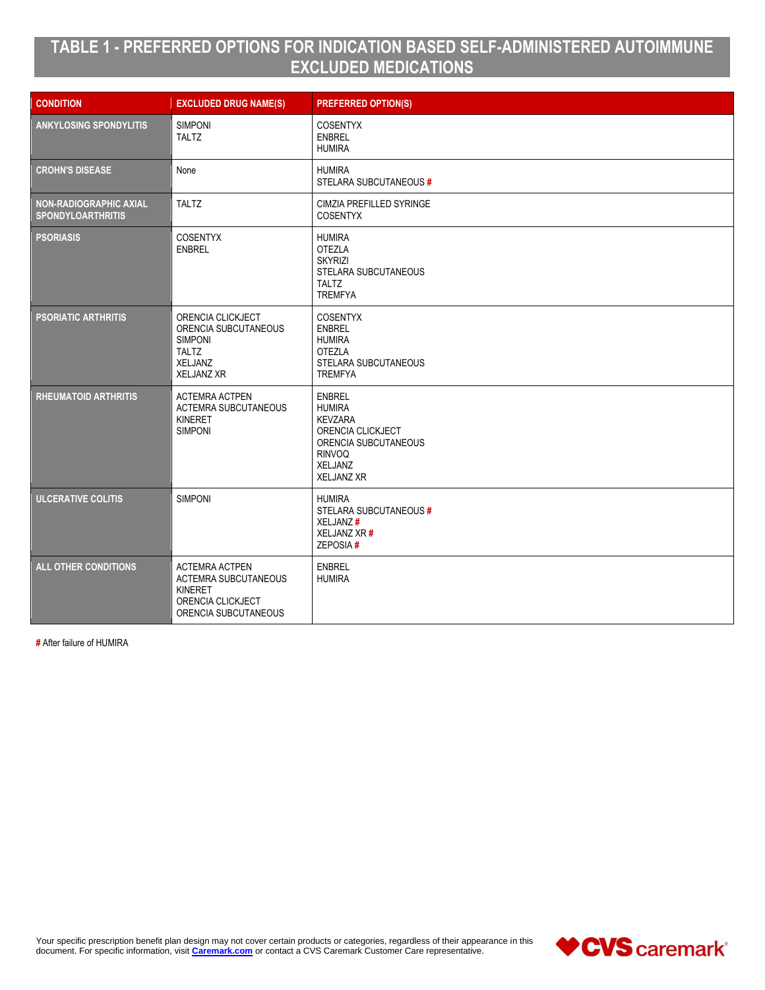# **TABLE 1 - PREFERRED OPTIONS FOR INDICATION BASED SELF-ADMINISTERED AUTOIMMUNE EXCLUDED MEDICATIONS**

| <b>CONDITION</b>                                   | <b>EXCLUDED DRUG NAME(S)</b>                                                                                 | <b>PREFERRED OPTION(S)</b>                                                                                                                     |
|----------------------------------------------------|--------------------------------------------------------------------------------------------------------------|------------------------------------------------------------------------------------------------------------------------------------------------|
| <b>ANKYLOSING SPONDYLITIS</b>                      | <b>SIMPONI</b><br><b>TALTZ</b>                                                                               | <b>COSENTYX</b><br><b>ENBREL</b><br><b>HUMIRA</b>                                                                                              |
| <b>CROHN'S DISEASE</b>                             | None                                                                                                         | <b>HUMIRA</b><br>STELARA SUBCUTANEOUS#                                                                                                         |
| NON-RADIOGRAPHIC AXIAL<br><b>SPONDYLOARTHRITIS</b> | <b>TALTZ</b>                                                                                                 | CIMZIA PREFILLED SYRINGE<br><b>COSENTYX</b>                                                                                                    |
| <b>PSORIASIS</b>                                   | <b>COSENTYX</b><br><b>ENBREL</b>                                                                             | <b>HUMIRA</b><br><b>OTEZLA</b><br><b>SKYRIZI</b><br>STELARA SUBCUTANEOUS<br><b>TALTZ</b><br><b>TREMFYA</b>                                     |
| <b>PSORIATIC ARTHRITIS</b>                         | ORENCIA CLICKJECT<br>ORENCIA SUBCUTANEOUS<br><b>SIMPONI</b><br><b>TALTZ</b><br>XELJANZ<br><b>XELJANZ XR</b>  | <b>COSENTYX</b><br><b>ENBREL</b><br><b>HUMIRA</b><br><b>OTEZLA</b><br><b>STELARA SUBCUTANEOUS</b><br><b>TREMFYA</b>                            |
| <b>RHEUMATOID ARTHRITIS</b>                        | <b>ACTEMRA ACTPEN</b><br><b>ACTEMRA SUBCUTANEOUS</b><br>KINERET<br><b>SIMPONI</b>                            | <b>ENBREL</b><br><b>HUMIRA</b><br><b>KEVZARA</b><br>ORENCIA CLICKJECT<br>ORENCIA SUBCUTANEOUS<br><b>RINVOQ</b><br>XELJANZ<br><b>XELJANZ XR</b> |
| <b>ULCERATIVE COLITIS</b>                          | <b>SIMPONI</b>                                                                                               | <b>HUMIRA</b><br>STELARA SUBCUTANEOUS#<br>XELJANZ#<br>XELJANZ XR #<br>ZEPOSIA#                                                                 |
| <b>ALL OTHER CONDITIONS</b>                        | <b>ACTEMRA ACTPEN</b><br><b>ACTEMRA SUBCUTANEOUS</b><br>KINERET<br>ORENCIA CLICKJECT<br>ORENCIA SUBCUTANEOUS | <b>ENBREL</b><br><b>HUMIRA</b>                                                                                                                 |

**#** After failure of HUMIRA